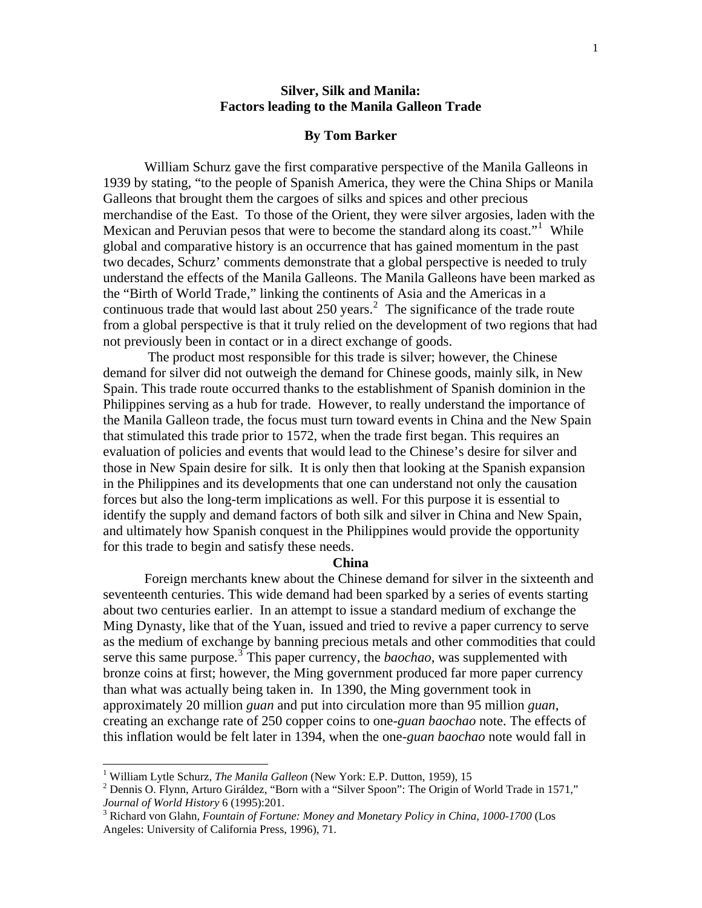# **Silver, Silk and Manila: Factors leading to the Manila Galleon Trade**

#### **By Tom Barker**

William Schurz gave the first comparative perspective of the Manila Galleons in 1939 by stating, "to the people of Spanish America, they were the China Ships or Manila Galleons that brought them the cargoes of silks and spices and other precious merchandise of the East. To those of the Orient, they were silver argosies, laden with the Mexican and Peruvian pesos that were to become the standard along its coast."<sup>1</sup> While global and comparative history is an occurrence that has gained momentum in the past two decades, Schurz' comments demonstrate that a global perspective is needed to truly understand the effects of the Manila Galleons. The Manila Galleons have been marked as the "Birth of World Trade," linking the continents of Asia and the Americas in a continuous trade that would last about 250 years.<sup>2</sup> The significance of the trade route from a global perspective is that it truly relied on the development of two regions that had not previously been in contact or in a direct exchange of goods.

 The product most responsible for this trade is silver; however, the Chinese demand for silver did not outweigh the demand for Chinese goods, mainly silk, in New Spain. This trade route occurred thanks to the establishment of Spanish dominion in the Philippines serving as a hub for trade. However, to really understand the importance of the Manila Galleon trade, the focus must turn toward events in China and the New Spain that stimulated this trade prior to 1572, when the trade first began. This requires an evaluation of policies and events that would lead to the Chinese's desire for silver and those in New Spain desire for silk. It is only then that looking at the Spanish expansion in the Philippines and its developments that one can understand not only the causation forces but also the long-term implications as well. For this purpose it is essential to identify the supply and demand factors of both silk and silver in China and New Spain, and ultimately how Spanish conquest in the Philippines would provide the opportunity for this trade to begin and satisfy these needs.

#### **China**

Foreign merchants knew about the Chinese demand for silver in the sixteenth and seventeenth centuries. This wide demand had been sparked by a series of events starting about two centuries earlier. In an attempt to issue a standard medium of exchange the Ming Dynasty, like that of the Yuan, issued and tried to revive a paper currency to serve as the medium of exchange by banning precious metals and other commodities that could serve this same purpose.<sup>3</sup> This paper currency, the *baochao*, was supplemented with bronze coins at first; however, the Ming government produced far more paper currency than what was actually being taken in. In 1390, the Ming government took in approximately 20 million *guan* and put into circulation more than 95 million *guan*, creating an exchange rate of 250 copper coins to one-*guan baochao* note. The effects of this inflation would be felt later in 1394, when the one-*guan baochao* note would fall in

<sup>&</sup>lt;sup>1</sup> William Lytle Schurz, *The Manila Galleon* (New York: E.P. Dutton, 1959), 15

<sup>&</sup>lt;sup>2</sup> Dennis O. Flynn, Arturo Giráldez, "Born with a "Silver Spoon": The Origin of World Trade in 1571," *Journal of World History* 6 (1995):201.

<sup>&</sup>lt;sup>3</sup> Richard von Glahn, *Fountain of Fortune: Money and Monetary Policy in China, 1000-1700* (Los Angeles: University of California Press, 1996), 71.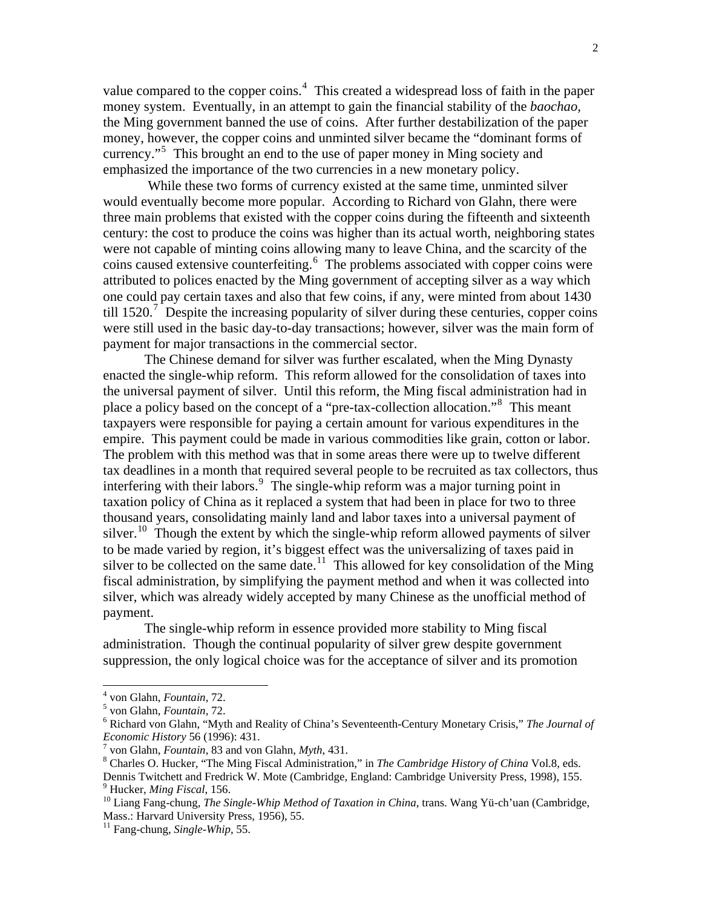value compared to the copper coins. $4$  This created a widespread loss of faith in the paper money system. Eventually, in an attempt to gain the financial stability of the *baochao,* the Ming government banned the use of coins. After further destabilization of the paper money, however, the copper coins and unminted silver became the "dominant forms of currency."<sup>5</sup> This brought an end to the use of paper money in Ming society and emphasized the importance of the two currencies in a new monetary policy.

 While these two forms of currency existed at the same time, unminted silver would eventually become more popular. According to Richard von Glahn, there were three main problems that existed with the copper coins during the fifteenth and sixteenth century: the cost to produce the coins was higher than its actual worth, neighboring states were not capable of minting coins allowing many to leave China, and the scarcity of the coins caused extensive counterfeiting.<sup>6</sup> The problems associated with copper coins were attributed to polices enacted by the Ming government of accepting silver as a way which one could pay certain taxes and also that few coins, if any, were minted from about 1430 till 1520.<sup>7</sup> Despite the increasing popularity of silver during these centuries, copper coins were still used in the basic day-to-day transactions; however, silver was the main form of payment for major transactions in the commercial sector.

The Chinese demand for silver was further escalated, when the Ming Dynasty enacted the single-whip reform. This reform allowed for the consolidation of taxes into the universal payment of silver. Until this reform, the Ming fiscal administration had in place a policy based on the concept of a "pre-tax-collection allocation."<sup>8</sup> This meant taxpayers were responsible for paying a certain amount for various expenditures in the empire. This payment could be made in various commodities like grain, cotton or labor. The problem with this method was that in some areas there were up to twelve different tax deadlines in a month that required several people to be recruited as tax collectors, thus interfering with their labors.<sup>9</sup> The single-whip reform was a major turning point in taxation policy of China as it replaced a system that had been in place for two to three thousand years, consolidating mainly land and labor taxes into a universal payment of silver.<sup>10</sup> Though the extent by which the single-whip reform allowed payments of silver to be made varied by region, it's biggest effect was the universalizing of taxes paid in silver to be collected on the same date.<sup>11</sup> This allowed for key consolidation of the Ming fiscal administration, by simplifying the payment method and when it was collected into silver, which was already widely accepted by many Chinese as the unofficial method of payment.

The single-whip reform in essence provided more stability to Ming fiscal administration. Though the continual popularity of silver grew despite government suppression, the only logical choice was for the acceptance of silver and its promotion

<sup>&</sup>lt;sup>4</sup> von Glahn, *Fountain*, 72.

<sup>&</sup>lt;sup>5</sup> von Glahn, *Fountain*, 72.

<sup>&</sup>lt;sup>6</sup> Richard von Glahn, "Myth and Reality of China's Seventeenth-Century Monetary Crisis," *The Journal of Economic History* 56 (1996): 431.

<sup>7</sup> von Glahn, *Fountain*, 83 and von Glahn, *Myth*, 431.

<sup>&</sup>lt;sup>8</sup> Charles O. Hucker, "The Ming Fiscal Administration," in *The Cambridge History of China* Vol.8, eds. Dennis Twitchett and Fredrick W. Mote (Cambridge, England: Cambridge University Press, 1998), 155.

<sup>&</sup>lt;sup>9</sup> Hucker, *Ming Fiscal*, 156.

<sup>&</sup>lt;sup>10</sup> Liang Fang-chung, *The Single-Whip Method of Taxation in China*, trans. Wang Yü-ch'uan (Cambridge, Mass.: Harvard University Press, 1956), 55.

<sup>&</sup>lt;sup>11</sup> Fang-chung, *Single-Whip*, 55.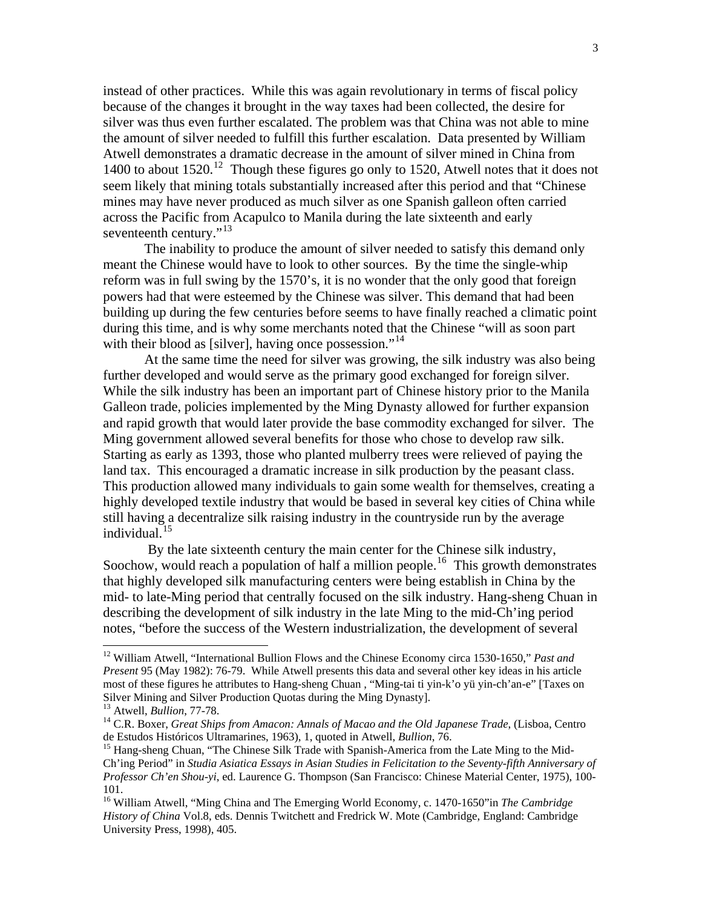instead of other practices. While this was again revolutionary in terms of fiscal policy because of the changes it brought in the way taxes had been collected, the desire for silver was thus even further escalated. The problem was that China was not able to mine the amount of silver needed to fulfill this further escalation. Data presented by William Atwell demonstrates a dramatic decrease in the amount of silver mined in China from 1400 to about  $1520$ .<sup>12</sup> Though these figures go only to 1520, Atwell notes that it does not seem likely that mining totals substantially increased after this period and that "Chinese mines may have never produced as much silver as one Spanish galleon often carried across the Pacific from Acapulco to Manila during the late sixteenth and early seventeenth century."<sup>13</sup>

 The inability to produce the amount of silver needed to satisfy this demand only meant the Chinese would have to look to other sources. By the time the single-whip reform was in full swing by the 1570's, it is no wonder that the only good that foreign powers had that were esteemed by the Chinese was silver. This demand that had been building up during the few centuries before seems to have finally reached a climatic point during this time, and is why some merchants noted that the Chinese "will as soon part with their blood as [silver], having once possession."<sup>14</sup>

 At the same time the need for silver was growing, the silk industry was also being further developed and would serve as the primary good exchanged for foreign silver. While the silk industry has been an important part of Chinese history prior to the Manila Galleon trade, policies implemented by the Ming Dynasty allowed for further expansion and rapid growth that would later provide the base commodity exchanged for silver. The Ming government allowed several benefits for those who chose to develop raw silk. Starting as early as 1393, those who planted mulberry trees were relieved of paying the land tax. This encouraged a dramatic increase in silk production by the peasant class. This production allowed many individuals to gain some wealth for themselves, creating a highly developed textile industry that would be based in several key cities of China while still having a decentralize silk raising industry in the countryside run by the average individual.<sup>15</sup>

 By the late sixteenth century the main center for the Chinese silk industry, Soochow, would reach a population of half a million people.<sup>16</sup> This growth demonstrates that highly developed silk manufacturing centers were being establish in China by the mid- to late-Ming period that centrally focused on the silk industry. Hang-sheng Chuan in describing the development of silk industry in the late Ming to the mid-Ch'ing period notes, "before the success of the Western industrialization, the development of several

<sup>&</sup>lt;sup>12</sup> William Atwell, "International Bullion Flows and the Chinese Economy circa 1530-1650," *Past and Present* 95 (May 1982): 76-79. While Atwell presents this data and several other key ideas in his article most of these figures he attributes to Hang-sheng Chuan , "Ming-tai ti yin-k'o yü yin-ch'an-e" [Taxes on Silver Mining and Silver Production Quotas during the Ming Dynasty].

<sup>&</sup>lt;sup>13</sup> Atwell, *Bullion*, 77-78.

<sup>&</sup>lt;sup>14</sup> C.R. Boxer, *Great Ships from Amacon: Annals of Macao and the Old Japanese Trade*, (Lisboa, Centro de Estudos Históricos Ultramarines, 1963), 1, quoted in Atwell, *Bullion*, 76.

<sup>&</sup>lt;sup>15</sup> Hang-sheng Chuan, "The Chinese Silk Trade with Spanish-America from the Late Ming to the Mid-Ch'ing Period" in *Studia Asiatica Essays in Asian Studies in Felicitation to the Seventy-fifth Anniversary of Professor Ch'en Shou-yi*, ed. Laurence G. Thompson (San Francisco: Chinese Material Center, 1975), 100- 101.

<sup>&</sup>lt;sup>16</sup> William Atwell, "Ming China and The Emerging World Economy, c. 1470-1650"in *The Cambridge History of China* Vol.8, eds. Dennis Twitchett and Fredrick W. Mote (Cambridge, England: Cambridge University Press, 1998), 405.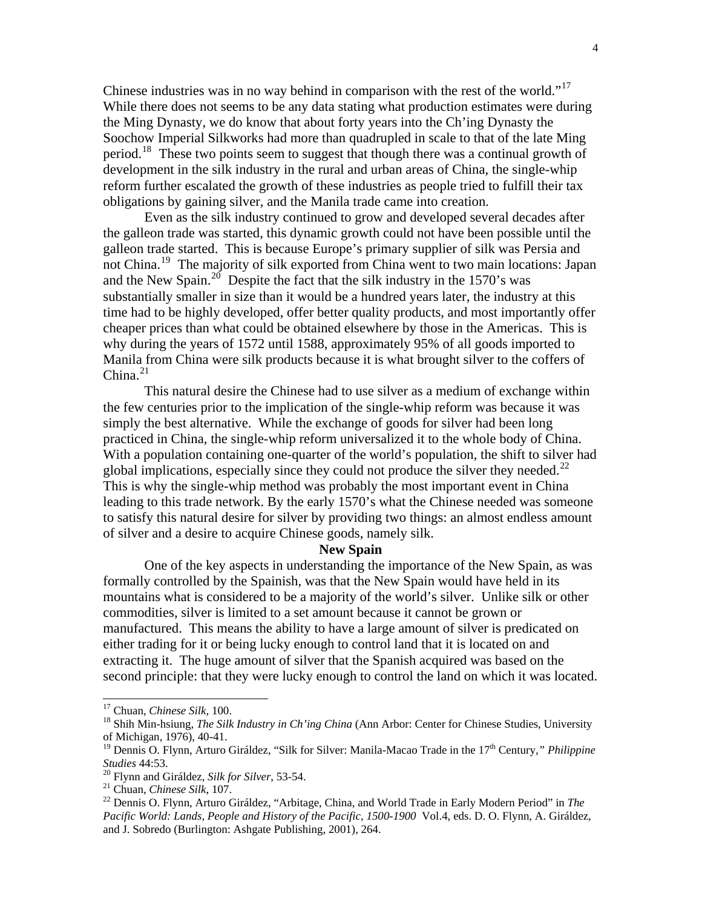Chinese industries was in no way behind in comparison with the rest of the world."<sup>17</sup> While there does not seems to be any data stating what production estimates were during the Ming Dynasty, we do know that about forty years into the Ch'ing Dynasty the Soochow Imperial Silkworks had more than quadrupled in scale to that of the late Ming period.<sup>18</sup> These two points seem to suggest that though there was a continual growth of development in the silk industry in the rural and urban areas of China, the single-whip reform further escalated the growth of these industries as people tried to fulfill their tax obligations by gaining silver, and the Manila trade came into creation.

Even as the silk industry continued to grow and developed several decades after the galleon trade was started, this dynamic growth could not have been possible until the galleon trade started. This is because Europe's primary supplier of silk was Persia and not China.<sup>19</sup> The majority of silk exported from China went to two main locations: Japan and the New Spain.<sup>20</sup> Despite the fact that the silk industry in the 1570's was substantially smaller in size than it would be a hundred years later, the industry at this time had to be highly developed, offer better quality products, and most importantly offer cheaper prices than what could be obtained elsewhere by those in the Americas. This is why during the years of 1572 until 1588, approximately 95% of all goods imported to Manila from China were silk products because it is what brought silver to the coffers of China. $^{21}$ 

This natural desire the Chinese had to use silver as a medium of exchange within the few centuries prior to the implication of the single-whip reform was because it was simply the best alternative. While the exchange of goods for silver had been long practiced in China, the single-whip reform universalized it to the whole body of China. With a population containing one-quarter of the world's population, the shift to silver had global implications, especially since they could not produce the silver they needed.<sup>22</sup> This is why the single-whip method was probably the most important event in China leading to this trade network. By the early 1570's what the Chinese needed was someone to satisfy this natural desire for silver by providing two things: an almost endless amount of silver and a desire to acquire Chinese goods, namely silk.

#### **New Spain**

One of the key aspects in understanding the importance of the New Spain, as was formally controlled by the Spainish, was that the New Spain would have held in its mountains what is considered to be a majority of the world's silver. Unlike silk or other commodities, silver is limited to a set amount because it cannot be grown or manufactured. This means the ability to have a large amount of silver is predicated on either trading for it or being lucky enough to control land that it is located on and extracting it. The huge amount of silver that the Spanish acquired was based on the second principle: that they were lucky enough to control the land on which it was located.

<sup>&</sup>lt;sup>17</sup> Chuan, *Chinese Silk*, 100.

<sup>&</sup>lt;sup>18</sup> Shih Min-hsiung, *The Silk Industry in Ch'ing China* (Ann Arbor: Center for Chinese Studies, University of Michigan, 1976), 40-41.

<sup>&</sup>lt;sup>19</sup> Dennis O. Flynn, Arturo Giráldez, "Silk for Silver: Manila-Macao Trade in the 17<sup>th</sup> Century," Philippine *Studies* 44:53.

 $^{20}$  Flynn and Giráldez, *Silk for Silver*, 53-54.

<sup>&</sup>lt;sup>21</sup> Chuan, *Chinese Silk*, 107.

<sup>&</sup>lt;sup>22</sup> Dennis O. Flynn, Arturo Giráldez, "Arbitage, China, and World Trade in Early Modern Period" in The Pacific World: Lands, People and History of the Pacific, 1500-1900 Vol.4, eds. D. O. Flynn, A. Giráldez, and J. Sobredo (Burlington: Ashgate Publishing, 2001), 264.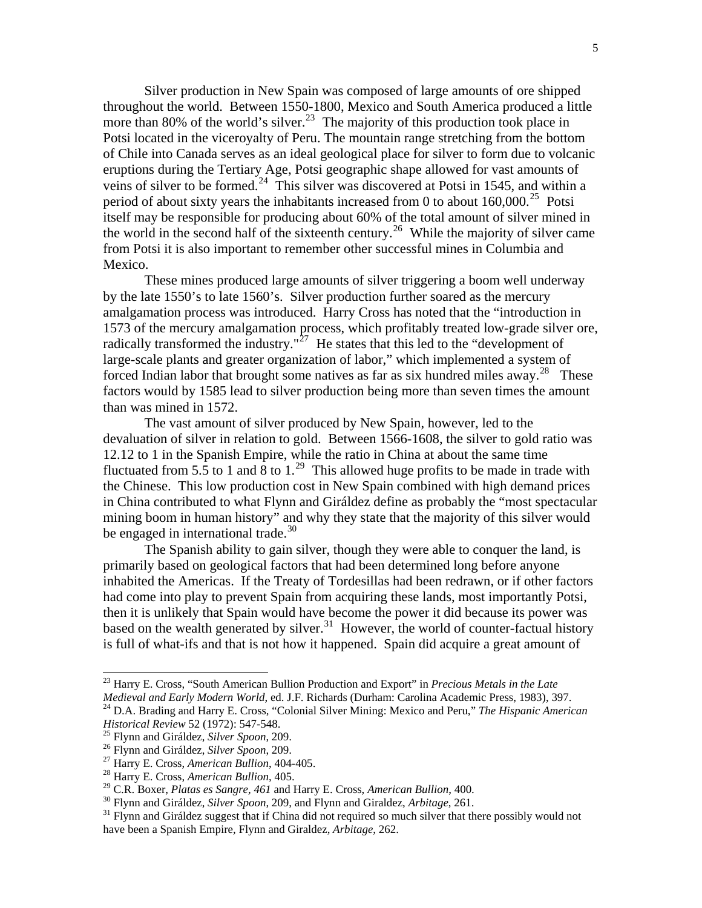Silver production in New Spain was composed of large amounts of ore shipped throughout the world. Between 1550-1800, Mexico and South America produced a little more than 80% of the world's silver.<sup>23</sup> The majority of this production took place in Potsi located in the viceroyalty of Peru. The mountain range stretching from the bottom of Chile into Canada serves as an ideal geological place for silver to form due to volcanic eruptions during the Tertiary Age, Potsi geographic shape allowed for vast amounts of veins of silver to be formed.<sup>24</sup> This silver was discovered at Potsi in 1545, and within a period of about sixty years the inhabitants increased from 0 to about  $160,000$ .<sup>25</sup> Potsi itself may be responsible for producing about 60% of the total amount of silver mined in the world in the second half of the sixteenth century.<sup>26</sup> While the majority of silver came from Potsi it is also important to remember other successful mines in Columbia and Mexico.

 These mines produced large amounts of silver triggering a boom well underway by the late 1550's to late 1560's. Silver production further soared as the mercury amalgamation process was introduced. Harry Cross has noted that the "introduction in 1573 of the mercury amalgamation process, which profitably treated low-grade silver ore, radically transformed the industry."<sup> $27$ </sup> He states that this led to the "development of large-scale plants and greater organization of labor," which implemented a system of forced Indian labor that brought some natives as far as six hundred miles away.<sup>28</sup> These factors would by 1585 lead to silver production being more than seven times the amount than was mined in 1572.

 The vast amount of silver produced by New Spain, however, led to the devaluation of silver in relation to gold. Between 1566-1608, the silver to gold ratio was 12.12 to 1 in the Spanish Empire, while the ratio in China at about the same time fluctuated from 5.5 to 1 and 8 to 1.<sup>29</sup> This allowed huge profits to be made in trade with the Chinese. This low production cost in New Spain combined with high demand prices in China contributed to what Flynn and Giráldez define as probably the "most spectacular mining boom in human history" and why they state that the majority of this silver would be engaged in international trade.<sup>30</sup>

 The Spanish ability to gain silver, though they were able to conquer the land, is primarily based on geological factors that had been determined long before anyone inhabited the Americas. If the Treaty of Tordesillas had been redrawn, or if other factors had come into play to prevent Spain from acquiring these lands, most importantly Potsi, then it is unlikely that Spain would have become the power it did because its power was based on the wealth generated by silver.<sup>31</sup> However, the world of counter-factual history is full of what-ifs and that is not how it happened. Spain did acquire a great amount of

<sup>&</sup>lt;sup>23</sup> Harry E. Cross, "South American Bullion Production and Export" in *Precious Metals in the Late Medieval and Early Modern World*, ed. J.F. Richards (Durham: Carolina Academic Press, 1983), 397.

<sup>&</sup>lt;sup>24</sup> D.A. Brading and Harry E. Cross, "Colonial Silver Mining: Mexico and Peru," *The Hispanic American Historical Review* 52 (1972): 547-548.

<sup>&</sup>lt;sup>25</sup> Flynn and Giráldez, *Silver Spoon*, 209.

<sup>&</sup>lt;sup>26</sup> Flynn and Giráldez, *Silver Spoon*, 209.

<sup>&</sup>lt;sup>27</sup> Harry E. Cross, *American Bullion*, 404-405.

<sup>&</sup>lt;sup>28</sup> Harry E. Cross, *American Bullion*, 405.

<sup>&</sup>lt;sup>29</sup> C.R. Boxer, *Platas es Sangre, 461* and Harry E. Cross, *American Bullion*, 400.

<sup>&</sup>lt;sup>30</sup> Flynn and Giráldez, *Silver Spoon*, 209, and Flynn and Giraldez, *Arbitage*, 261.

<sup>&</sup>lt;sup>31</sup> Flynn and Giráldez suggest that if China did not required so much silver that there possibly would not have been a Spanish Empire, Flynn and Giraldez, *Arbitage*, 262.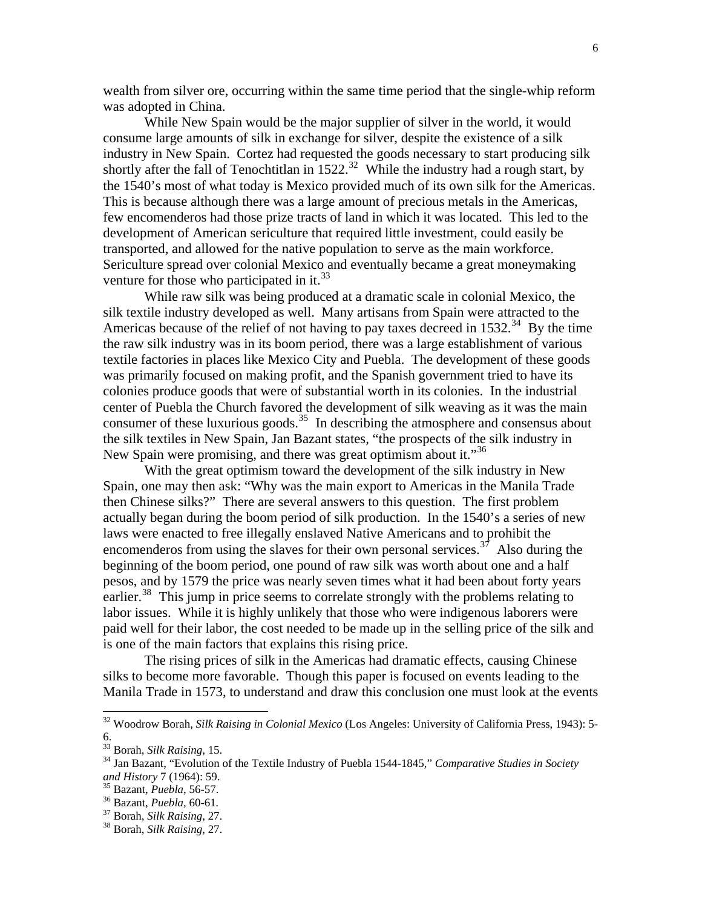wealth from silver ore, occurring within the same time period that the single-whip reform was adopted in China.

 While New Spain would be the major supplier of silver in the world, it would consume large amounts of silk in exchange for silver, despite the existence of a silk industry in New Spain. Cortez had requested the goods necessary to start producing silk shortly after the fall of Tenochtitlan in  $1522.^{32}$  While the industry had a rough start, by the 1540's most of what today is Mexico provided much of its own silk for the Americas. This is because although there was a large amount of precious metals in the Americas, few encomenderos had those prize tracts of land in which it was located. This led to the development of American sericulture that required little investment, could easily be transported, and allowed for the native population to serve as the main workforce. Sericulture spread over colonial Mexico and eventually became a great moneymaking venture for those who participated in it. $^{33}$ 

 While raw silk was being produced at a dramatic scale in colonial Mexico, the silk textile industry developed as well. Many artisans from Spain were attracted to the Americas because of the relief of not having to pay taxes decreed in  $1532.<sup>34</sup>$  By the time the raw silk industry was in its boom period, there was a large establishment of various textile factories in places like Mexico City and Puebla. The development of these goods was primarily focused on making profit, and the Spanish government tried to have its colonies produce goods that were of substantial worth in its colonies. In the industrial center of Puebla the Church favored the development of silk weaving as it was the main consumer of these luxurious goods.<sup>35</sup> In describing the atmosphere and consensus about the silk textiles in New Spain, Jan Bazant states, "the prospects of the silk industry in New Spain were promising, and there was great optimism about it."<sup>36</sup>

 With the great optimism toward the development of the silk industry in New Spain, one may then ask: "Why was the main export to Americas in the Manila Trade then Chinese silks?" There are several answers to this question. The first problem actually began during the boom period of silk production. In the 1540's a series of new laws were enacted to free illegally enslaved Native Americans and to prohibit the encomenderos from using the slaves for their own personal services.<sup>37</sup> Also during the beginning of the boom period, one pound of raw silk was worth about one and a half pesos, and by 1579 the price was nearly seven times what it had been about forty years earlier.<sup>38</sup> This jump in price seems to correlate strongly with the problems relating to labor issues. While it is highly unlikely that those who were indigenous laborers were paid well for their labor, the cost needed to be made up in the selling price of the silk and is one of the main factors that explains this rising price.

 The rising prices of silk in the Americas had dramatic effects, causing Chinese silks to become more favorable. Though this paper is focused on events leading to the Manila Trade in 1573, to understand and draw this conclusion one must look at the events

l

<sup>&</sup>lt;sup>32</sup> Woodrow Borah, *Silk Raising in Colonial Mexico* (Los Angeles: University of California Press, 1943): 5-6.

 $T^{33}$  Borah, *Silk Raising*, 15.

<sup>&</sup>lt;sup>34</sup> Jan Bazant, "Evolution of the Textile Industry of Puebla 1544-1845," *Comparative Studies in Society and History* 7 (1964): 59.

<sup>&</sup>lt;sup>35</sup> Bazant, *Puebla*, 56-57.

<sup>&</sup>lt;sup>36</sup> Bazant, *Puebla*, 60-61.

<sup>&</sup>lt;sup>37</sup> Borah, *Silk Raising*, 27.

<sup>&</sup>lt;sup>38</sup> Borah, *Silk Raising*, 27.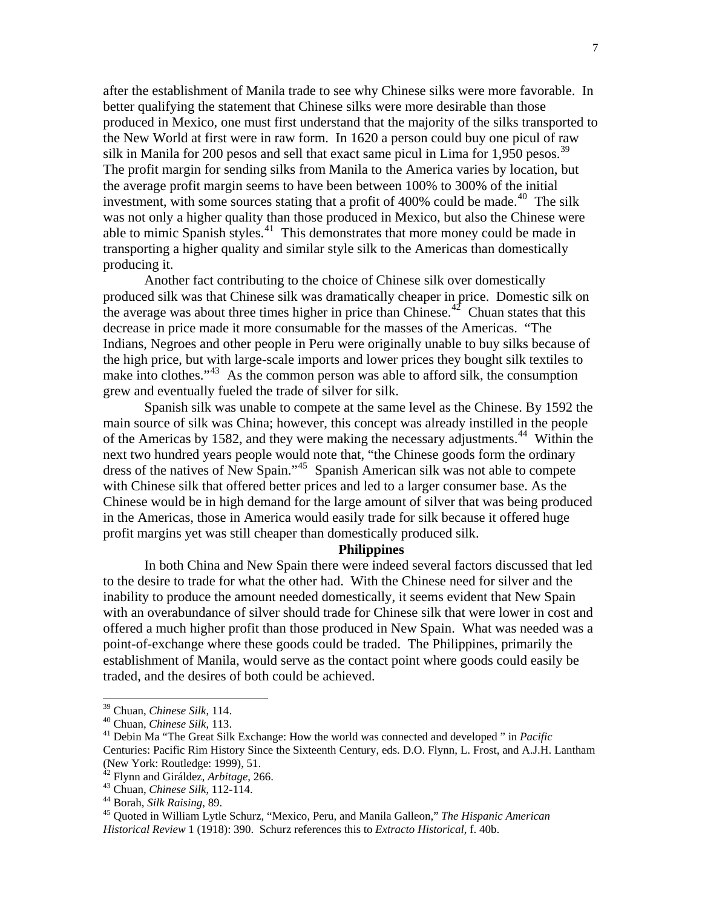after the establishment of Manila trade to see why Chinese silks were more favorable. In better qualifying the statement that Chinese silks were more desirable than those produced in Mexico, one must first understand that the majority of the silks transported to the New World at first were in raw form. In 1620 a person could buy one picul of raw silk in Manila for 200 pesos and sell that exact same picul in Lima for  $1,950$  pesos.<sup>39</sup> The profit margin for sending silks from Manila to the America varies by location, but the average profit margin seems to have been between 100% to 300% of the initial investment, with some sources stating that a profit of 400% could be made.<sup>40</sup> The silk was not only a higher quality than those produced in Mexico, but also the Chinese were able to mimic Spanish styles.<sup>41</sup> This demonstrates that more money could be made in transporting a higher quality and similar style silk to the Americas than domestically producing it.

 Another fact contributing to the choice of Chinese silk over domestically produced silk was that Chinese silk was dramatically cheaper in price. Domestic silk on the average was about three times higher in price than Chinese.<sup>42</sup> Chuan states that this decrease in price made it more consumable for the masses of the Americas. "The Indians, Negroes and other people in Peru were originally unable to buy silks because of the high price, but with large-scale imports and lower prices they bought silk textiles to make into clothes." $43$  As the common person was able to afford silk, the consumption grew and eventually fueled the trade of silver for silk.

Spanish silk was unable to compete at the same level as the Chinese. By 1592 the main source of silk was China; however, this concept was already instilled in the people of the Americas by 1582, and they were making the necessary adjustments.<sup>44</sup> Within the next two hundred years people would note that, "the Chinese goods form the ordinary dress of the natives of New Spain."<sup>45</sup> Spanish American silk was not able to compete with Chinese silk that offered better prices and led to a larger consumer base. As the Chinese would be in high demand for the large amount of silver that was being produced in the Americas, those in America would easily trade for silk because it offered huge profit margins yet was still cheaper than domestically produced silk.

#### **Philippines**

 In both China and New Spain there were indeed several factors discussed that led to the desire to trade for what the other had. With the Chinese need for silver and the inability to produce the amount needed domestically, it seems evident that New Spain with an overabundance of silver should trade for Chinese silk that were lower in cost and offered a much higher profit than those produced in New Spain. What was needed was a point-of-exchange where these goods could be traded. The Philippines, primarily the establishment of Manila, would serve as the contact point where goods could easily be traded, and the desires of both could be achieved.

<sup>&</sup>lt;sup>39</sup> Chuan, *Chinese Silk*, 114.

<sup>&</sup>lt;sup>40</sup> Chuan, *Chinese Silk*, 113.

<sup>&</sup>lt;sup>41</sup> Debin Ma "The Great Silk Exchange: How the world was connected and developed " in *Pacific* Centuries: Pacific Rim History Since the Sixteenth Century, eds. D.O. Flynn, L. Frost, and A.J.H. Lantham (New York: Routledge: 1999), 51.

<sup>&</sup>lt;sup>42</sup> Flynn and Giráldez, *Arbitage*, 266.

<sup>&</sup>lt;sup>43</sup> Chuan, *Chinese Silk*, 112-114.

<sup>&</sup>lt;sup>44</sup> Borah, *Silk Raising*, 89.

<sup>&</sup>lt;sup>45</sup> Quoted in William Lytle Schurz, "Mexico, Peru, and Manila Galleon," *The Hispanic American Historical Review* 1 (1918): 390. Schurz references this to *Extracto Historical*, f. 40b.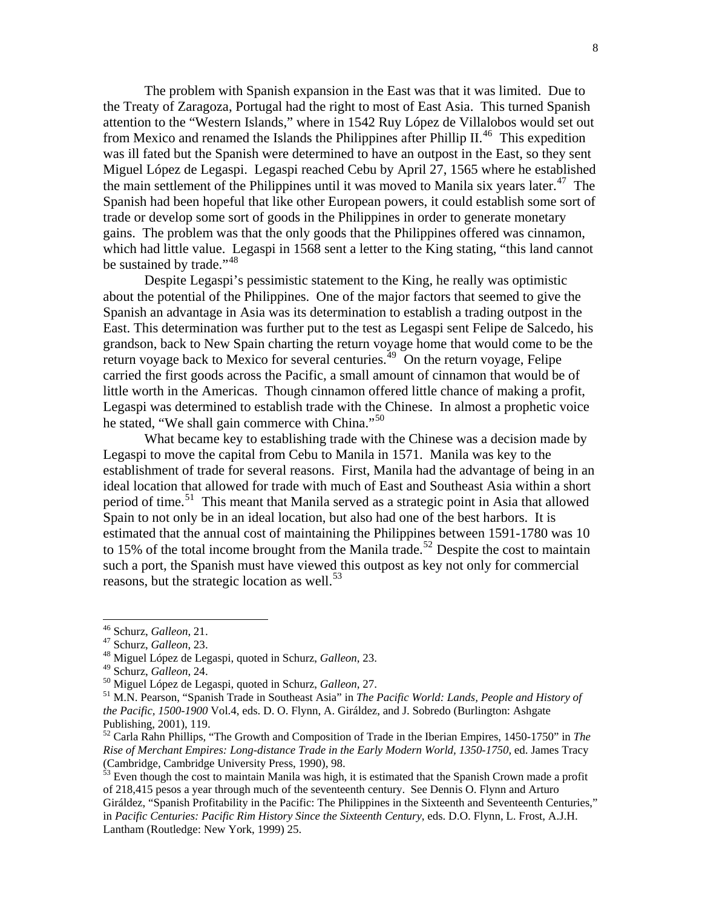The problem with Spanish expansion in the East was that it was limited. Due to the Treaty of Zaragoza, Portugal had the right to most of East Asia. This turned Spanish attention to the "Western Islands," where in 1542 Ruy López de Villalobos would set out from Mexico and renamed the Islands the Philippines after Phillip II.<sup>46</sup> This expedition was ill fated but the Spanish were determined to have an outpost in the East, so they sent Miguel López de Legaspi. Legaspi reached Cebu by April 27, 1565 where he established the main settlement of the Philippines until it was moved to Manila six years later.<sup>47</sup> The Spanish had been hopeful that like other European powers, it could establish some sort of trade or develop some sort of goods in the Philippines in order to generate monetary gains. The problem was that the only goods that the Philippines offered was cinnamon, which had little value. Legaspi in 1568 sent a letter to the King stating, "this land cannot be sustained by trade."<sup>48</sup>

 Despite Legaspi's pessimistic statement to the King, he really was optimistic about the potential of the Philippines. One of the major factors that seemed to give the Spanish an advantage in Asia was its determination to establish a trading outpost in the East. This determination was further put to the test as Legaspi sent Felipe de Salcedo, his grandson, back to New Spain charting the return voyage home that would come to be the return voyage back to Mexico for several centuries.<sup> $49$ </sup> On the return voyage, Felipe carried the first goods across the Pacific, a small amount of cinnamon that would be of little worth in the Americas. Though cinnamon offered little chance of making a profit, Legaspi was determined to establish trade with the Chinese. In almost a prophetic voice he stated, "We shall gain commerce with China."<sup>50</sup>

What became key to establishing trade with the Chinese was a decision made by Legaspi to move the capital from Cebu to Manila in 1571. Manila was key to the establishment of trade for several reasons. First, Manila had the advantage of being in an ideal location that allowed for trade with much of East and Southeast Asia within a short period of time.<sup>51</sup> This meant that Manila served as a strategic point in Asia that allowed Spain to not only be in an ideal location, but also had one of the best harbors. It is estimated that the annual cost of maintaining the Philippines between 1591-1780 was 10 to 15% of the total income brought from the Manila trade.<sup>52</sup> Despite the cost to maintain such a port, the Spanish must have viewed this outpost as key not only for commercial reasons, but the strategic location as well. $^{53}$ 

 $\overline{a}$ 

 $53$  Even though the cost to maintain Manila was high, it is estimated that the Spanish Crown made a profit of 218,415 pesos a year through much of the seventeenth century. See Dennis O. Flynn and Arturo Giráldez, "Spanish Profitability in the Pacific: The Philippines in the Sixteenth and Seventeenth Centuries," in *Pacific Centuries: Pacific Rim History Since the Sixteenth Century*, eds. D.O. Flynn, L. Frost, A.J.H. Lantham (Routledge: New York, 1999) 25.

<sup>&</sup>lt;sup>46</sup> Schurz, *Galleon*, 21.

<sup>&</sup>lt;sup>47</sup> Schurz, *Galleon*, 23.

<sup>&</sup>lt;sup>48</sup> Miguel López de Legaspi, quoted in Schurz, *Galleon*, 23.

<sup>&</sup>lt;sup>49</sup> Schurz, *Galleon*, 24.

<sup>&</sup>lt;sup>50</sup> Miguel López de Legaspi, quoted in Schurz, *Galleon*, 27.

<sup>&</sup>lt;sup>51</sup> M.N. Pearson, "Spanish Trade in Southeast Asia" in *The Pacific World: Lands, People and History of the Pacific, 1500-1900* Vol.4, eds. D. O. Flynn, A. Giráldez, and J. Sobredo (Burlington: Ashgate Publishing, 2001), 119.

<sup>&</sup>lt;sup>52</sup> Carla Rahn Phillips, "The Growth and Composition of Trade in the Iberian Empires, 1450-1750" in *The Rise of Merchant Empires: Long-distance Trade in the Early Modern World, 1350-1750*, ed. James Tracy (Cambridge, Cambridge University Press, 1990), 98.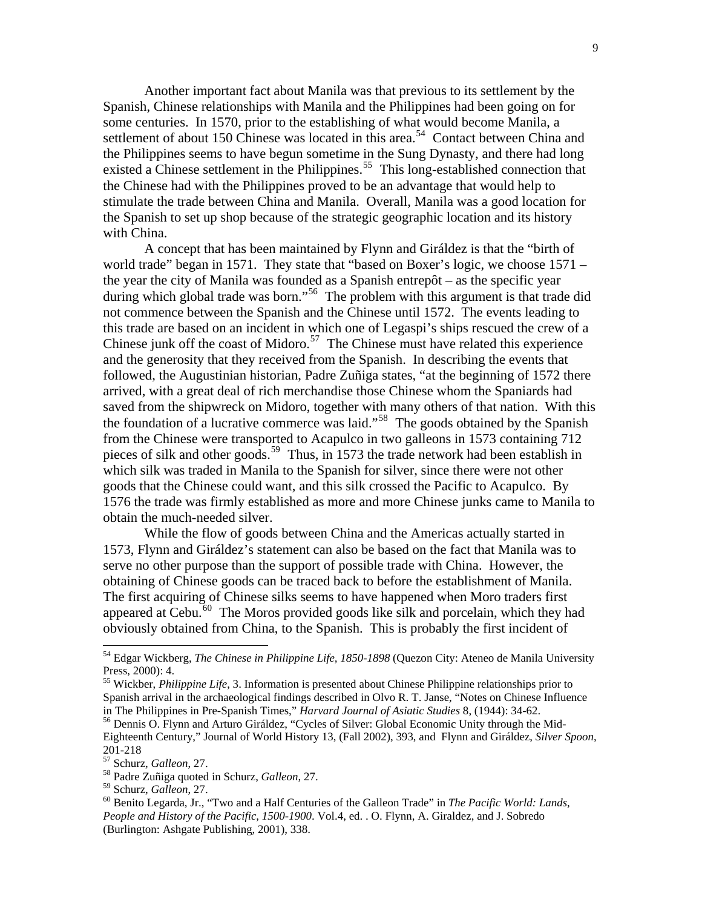Another important fact about Manila was that previous to its settlement by the Spanish, Chinese relationships with Manila and the Philippines had been going on for some centuries. In 1570, prior to the establishing of what would become Manila, a settlement of about 150 Chinese was located in this area.<sup>54</sup> Contact between China and the Philippines seems to have begun sometime in the Sung Dynasty, and there had long existed a Chinese settlement in the Philippines.<sup>55</sup> This long-established connection that the Chinese had with the Philippines proved to be an advantage that would help to stimulate the trade between China and Manila. Overall, Manila was a good location for the Spanish to set up shop because of the strategic geographic location and its history with China.

 A concept that has been maintained by Flynn and Giráldez is that the "birth of world trade" began in 1571. They state that "based on Boxer's logic, we choose 1571 – the year the city of Manila was founded as a Spanish entrepôt – as the specific year during which global trade was born."<sup>56</sup> The problem with this argument is that trade did not commence between the Spanish and the Chinese until 1572. The events leading to this trade are based on an incident in which one of Legaspi's ships rescued the crew of a Chinese junk off the coast of Midoro.<sup>57</sup> The Chinese must have related this experience and the generosity that they received from the Spanish. In describing the events that followed, the Augustinian historian, Padre Zuñiga states, "at the beginning of 1572 there arrived, with a great deal of rich merchandise those Chinese whom the Spaniards had saved from the shipwreck on Midoro, together with many others of that nation. With this the foundation of a lucrative commerce was laid."<sup>58</sup> The goods obtained by the Spanish from the Chinese were transported to Acapulco in two galleons in 1573 containing 712 pieces of silk and other goods.<sup>59</sup> Thus, in 1573 the trade network had been establish in which silk was traded in Manila to the Spanish for silver, since there were not other goods that the Chinese could want, and this silk crossed the Pacific to Acapulco. By 1576 the trade was firmly established as more and more Chinese junks came to Manila to obtain the much-needed silver.

 While the flow of goods between China and the Americas actually started in 1573, Flynn and Giráldez's statement can also be based on the fact that Manila was to serve no other purpose than the support of possible trade with China. However, the obtaining of Chinese goods can be traced back to before the establishment of Manila. The first acquiring of Chinese silks seems to have happened when Moro traders first appeared at  $\widetilde{\text{Cebu}}^{60}$  The Moros provided goods like silk and porcelain, which they had obviously obtained from China, to the Spanish. This is probably the first incident of

<sup>&</sup>lt;sup>54</sup> Edgar Wickberg, *The Chinese in Philippine Life, 1850-1898* (Quezon City: Ateneo de Manila University Press, 2000): 4.

<sup>&</sup>lt;sup>55</sup> Wickber, *Philippine Life*, 3. Information is presented about Chinese Philippine relationships prior to Spanish arrival in the archaeological findings described in Olvo R. T. Janse, "Notes on Chinese Influence in The Philippines in Pre-Spanish Times," *Harvard Journal of Asiatic Studies* 8, (1944): 34-62.

<sup>&</sup>lt;sup>56</sup> Dennis O. Flynn and Arturo Giráldez, "Cycles of Silver: Global Economic Unity through the Mid-Eighteenth Century," Journal of World History 13, (Fall 2002), 393, and Flynn and Giráldez, *Silver Spoon*, 201-218

<sup>&</sup>lt;sup>57</sup> Schurz, *Galleon*, 27.

<sup>&</sup>lt;sup>58</sup> Padre Zuñiga quoted in Schurz, *Galleon*, 27.

<sup>59</sup> Schurz, *Galleon*, 27.

<sup>&</sup>lt;sup>60</sup> Benito Legarda, Jr., "Two and a Half Centuries of the Galleon Trade" in The Pacific World: Lands, *People and History of the Pacific, 1500-1900*. Vol.4, ed. . O. Flynn, A. Giraldez, and J. Sobredo (Burlington: Ashgate Publishing, 2001), 338.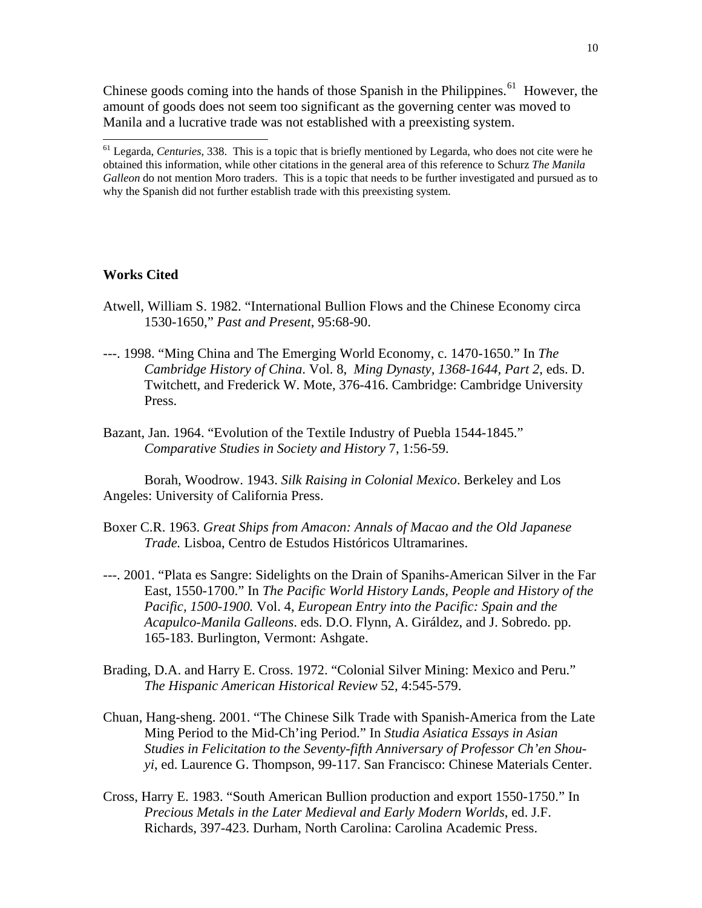Chinese goods coming into the hands of those Spanish in the Philippines.<sup>61</sup> However, the amount of goods does not seem too significant as the governing center was moved to Manila and a lucrative trade was not established with a preexisting system.

## **Works Cited**

 $\overline{a}$ 

- Atwell, William S. 1982. "International Bullion Flows and the Chinese Economy circa 1530-1650," *Past and Present*, 95:68-90.
- ---. 1998. "Ming China and The Emerging World Economy, c. 1470-1650." In *The Cambridge History of China*. Vol. 8, *Ming Dynasty, 1368-1644, Part 2*, eds. D. Twitchett, and Frederick W. Mote, 376-416. Cambridge: Cambridge University Press.
- Bazant, Jan. 1964. "Evolution of the Textile Industry of Puebla 1544-1845." *Comparative Studies in Society and History* 7, 1:56-59.

Borah, Woodrow. 1943. *Silk Raising in Colonial Mexico*. Berkeley and Los Angeles: University of California Press.

- Boxer C.R. 1963. *Great Ships from Amacon: Annals of Macao and the Old Japanese Trade.* Lisboa, Centro de Estudos Históricos Ultramarines.
- ---. 2001. "Plata es Sangre: Sidelights on the Drain of Spanihs-American Silver in the Far East, 1550-1700." In *The Pacific World History Lands, People and History of the Pacific, 1500-1900.* Vol. 4, *European Entry into the Pacific: Spain and the Acapulco-Manila Galleons*. eds. D.O. Flynn, A. Giráldez, and J. Sobredo. pp. 165-183. Burlington, Vermont: Ashgate.
- Brading, D.A. and Harry E. Cross. 1972. "Colonial Silver Mining: Mexico and Peru." *The Hispanic American Historical Review* 52, 4:545-579.
- Chuan, Hang-sheng. 2001. "The Chinese Silk Trade with Spanish-America from the Late Ming Period to the Mid-Ch'ing Period." In *Studia Asiatica Essays in Asian Studies in Felicitation to the Seventy-fifth Anniversary of Professor Ch'en Shouyi*, ed. Laurence G. Thompson, 99-117. San Francisco: Chinese Materials Center.
- Cross, Harry E. 1983. "South American Bullion production and export 1550-1750." In *Precious Metals in the Later Medieval and Early Modern Worlds*, ed. J.F. Richards, 397-423. Durham, North Carolina: Carolina Academic Press.

<sup>&</sup>lt;sup>61</sup> Legarda, *Centuries*, 338. This is a topic that is briefly mentioned by Legarda, who does not cite were he obtained this information, while other citations in the general area of this reference to Schurz *The Manila Galleon* do not mention Moro traders. This is a topic that needs to be further investigated and pursued as to why the Spanish did not further establish trade with this preexisting system.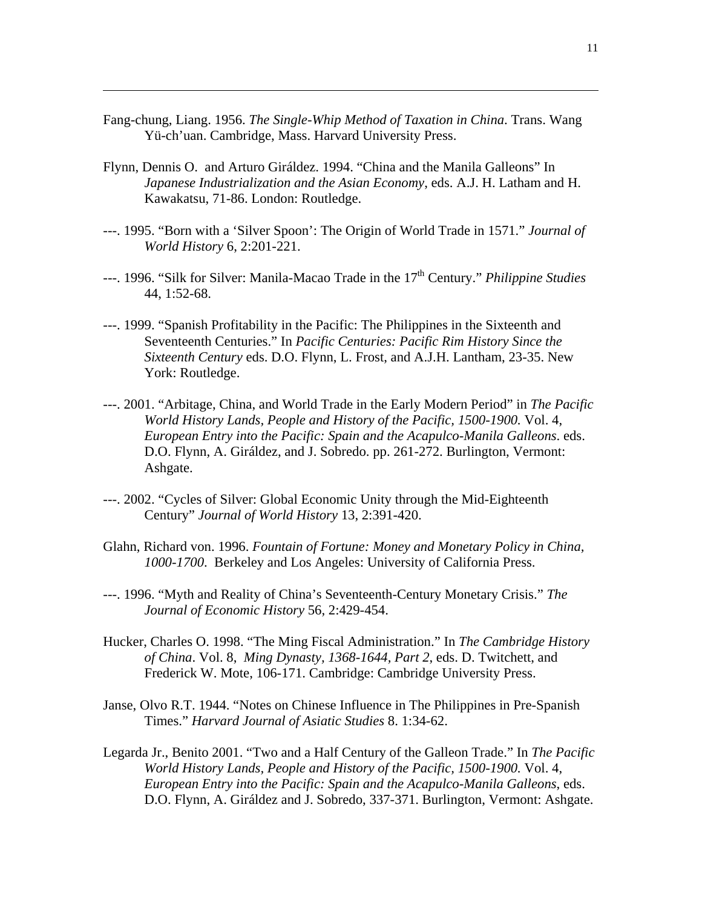Fang-chung, Liang. 1956. *The Single-Whip Method of Taxation in China*. Trans. Wang Yü-ch'uan. Cambridge, Mass. Harvard University Press.

- Flynn, Dennis O. and Arturo Giráldez. 1994. "China and the Manila Galleons" In *Japanese Industrialization and the Asian Economy*, eds. A.J. H. Latham and H. Kawakatsu, 71-86. London: Routledge.
- ---. 1995. "Born with a 'Silver Spoon': The Origin of World Trade in 1571." *Journal of World History* 6, 2:201-221.
- ---. 1996. "Silk for Silver: Manila-Macao Trade in the 17<sup>th</sup> Century." *Philippine Studies* 44, 1:52-68.
- ---. 1999. "Spanish Profitability in the Pacific: The Philippines in the Sixteenth and Seventeenth Centuries." In *Pacific Centuries: Pacific Rim History Since the Sixteenth Century* eds. D.O. Flynn, L. Frost, and A.J.H. Lantham, 23-35. New York: Routledge.
- ---. 2001. "Arbitage, China, and World Trade in the Early Modern Period" in *The Pacific World History Lands, People and History of the Pacific, 1500-1900.* Vol. 4, *European Entry into the Pacific: Spain and the Acapulco-Manila Galleons*. eds. D.O. Flynn, A. Giráldez, and J. Sobredo. pp. 261-272. Burlington, Vermont: Ashgate.
- ---. 2002. "Cycles of Silver: Global Economic Unity through the Mid-Eighteenth Century" *Journal of World History* 13, 2:391-420.
- Glahn, Richard von. 1996. *Fountain of Fortune: Money and Monetary Policy in China, 1000-1700*. Berkeley and Los Angeles: University of California Press.
- ---. 1996. "Myth and Reality of China's Seventeenth-Century Monetary Crisis." *The Journal of Economic History* 56, 2:429-454.
- Hucker, Charles O. 1998. "The Ming Fiscal Administration." In *The Cambridge History of China*. Vol. 8, *Ming Dynasty, 1368-1644, Part 2*, eds. D. Twitchett, and Frederick W. Mote, 106-171. Cambridge: Cambridge University Press.
- Janse, Olvo R.T. 1944. "Notes on Chinese Influence in The Philippines in Pre-Spanish Times." *Harvard Journal of Asiatic Studies* 8. 1:34-62.
- Legarda Jr., Benito 2001. "Two and a Half Century of the Galleon Trade." In *The Pacific World History Lands, People and History of the Pacific, 1500-1900.* Vol. 4, *European Entry into the Pacific: Spain and the Acapulco-Manila Galleons*, eds. D.O. Flynn, A. Giráldez and J. Sobredo, 337-371. Burlington, Vermont: Ashgate.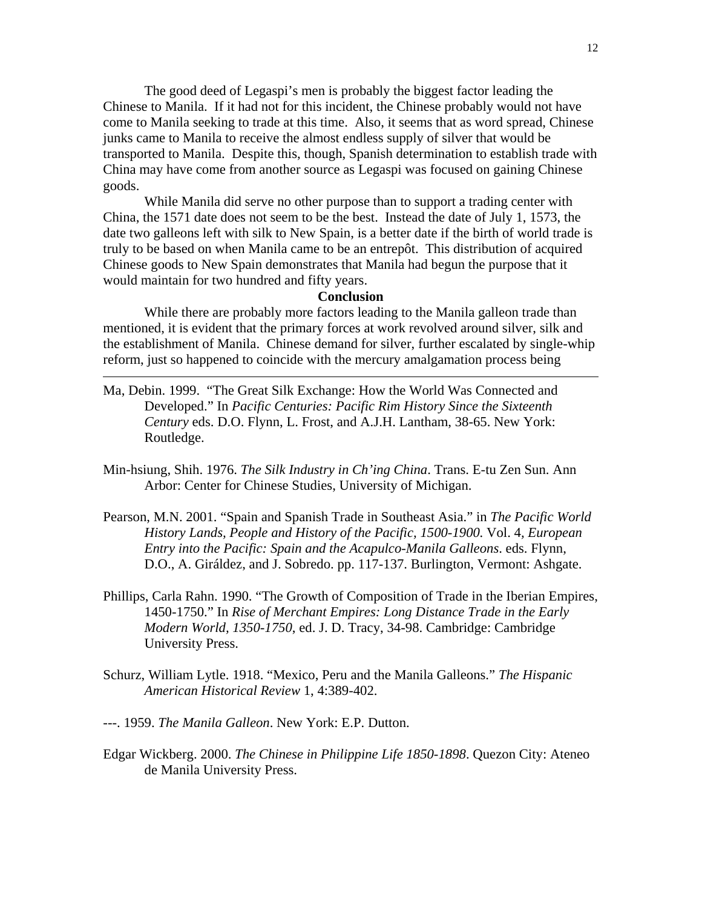The good deed of Legaspi's men is probably the biggest factor leading the Chinese to Manila. If it had not for this incident, the Chinese probably would not have come to Manila seeking to trade at this time. Also, it seems that as word spread, Chinese junks came to Manila to receive the almost endless supply of silver that would be transported to Manila. Despite this, though, Spanish determination to establish trade with China may have come from another source as Legaspi was focused on gaining Chinese goods.

 While Manila did serve no other purpose than to support a trading center with China, the 1571 date does not seem to be the best. Instead the date of July 1, 1573, the date two galleons left with silk to New Spain, is a better date if the birth of world trade is truly to be based on when Manila came to be an entrepôt. This distribution of acquired Chinese goods to New Spain demonstrates that Manila had begun the purpose that it would maintain for two hundred and fifty years.

## **Conclusion**

While there are probably more factors leading to the Manila galleon trade than mentioned, it is evident that the primary forces at work revolved around silver, silk and the establishment of Manila. Chinese demand for silver, further escalated by single-whip reform, just so happened to coincide with the mercury amalgamation process being

- Ma, Debin. 1999. "The Great Silk Exchange: How the World Was Connected and Developed." In *Pacific Centuries: Pacific Rim History Since the Sixteenth Century* eds. D.O. Flynn, L. Frost, and A.J.H. Lantham, 38-65. New York: Routledge.
- Min-hsiung, Shih. 1976. *The Silk Industry in Ch'ing China*. Trans. E-tu Zen Sun. Ann Arbor: Center for Chinese Studies, University of Michigan.
- Pearson, M.N. 2001. "Spain and Spanish Trade in Southeast Asia." in *The Pacific World History Lands, People and History of the Pacific, 1500-1900.* Vol. 4*, European Entry into the Pacific: Spain and the Acapulco-Manila Galleons*. eds. Flynn, D.O., A. Giráldez, and J. Sobredo. pp. 117-137. Burlington, Vermont: Ashgate.
- Phillips, Carla Rahn. 1990. "The Growth of Composition of Trade in the Iberian Empires, 1450-1750." In *Rise of Merchant Empires: Long Distance Trade in the Early Modern World, 1350-1750*, ed. J. D. Tracy, 34-98. Cambridge: Cambridge University Press.
- Schurz, William Lytle. 1918. "Mexico, Peru and the Manila Galleons." *The Hispanic American Historical Review* 1, 4:389-402.
- ---. 1959. *The Manila Galleon*. New York: E.P. Dutton.

 $\overline{a}$ 

Edgar Wickberg. 2000. *The Chinese in Philippine Life 1850-1898*. Quezon City: Ateneo de Manila University Press.